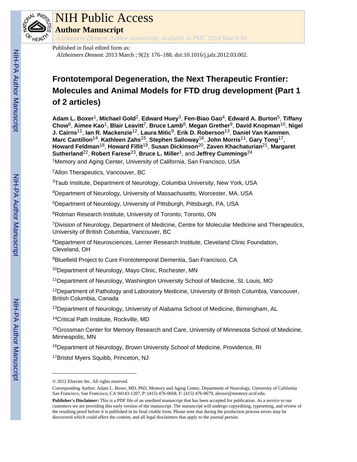

## NIH Public Access

**Author Manuscript**

Alzheimers Dement. Author manuscript; available in PMC 2014 March 01.

#### Published in final edited form as:

Alzheimers Dement. 2013 March ; 9(2): 176–188. doi:10.1016/j.jalz.2012.03.002.

### **Frontotemporal Degeneration, the Next Therapeutic Frontier: Molecules and Animal Models for FTD drug development (Part 1 of 2 articles)**

**Adam L. Boxer**1, **Michael Gold**2, **Edward Huey**3, **Fen-Biao Gao**4, **Edward A. Burton**5, **Tiffany Chow**6, **Aimee Kao**1, **Blair Leavitt**7, **Bruce Lamb**8, **Megan Grether**9, **David Knopman**10, **Nigel J. Cairns**11, **Ian R. Mackenzie**12, **Laura Mitic**9, **Erik D. Roberson**13, **Daniel Van Kammen**, **Marc Cantillon**14, **Kathleen Zahs**15, **Stephen Salloway**16, **John Morris**11, **Gary Tong**17, **Howard Feldman**18, **Howard Fillit**19, **Susan Dickinson**20, **Zaven Khachaturian**21, **Margaret Sutherland**22, **Robert Farese**23, **Bruce L. Miller**1, and **Jeffrey Cummings**<sup>24</sup>

<sup>1</sup>Memory and Aging Center, University of California, San Francisco, USA

<sup>2</sup>Allon Therapeutics, Vancouver, BC

<sup>3</sup>Taub Institute, Department of Neurology, Columbia University, New York, USA

<sup>4</sup>Department of Neurology, University of Massachusetts, Worcester, MA, USA

<sup>5</sup>Department of Neurology, University of Pittsburgh, Pittsburgh, PA, USA

<sup>6</sup>Rotman Research Institute, University of Toronto, Toronto, ON

<sup>7</sup>Division of Neurology, Department of Medicine, Centre for Molecular Medicine and Therapeutics, University of British Columbia, Vancouver, BC

<sup>8</sup>Department of Neurosciences, Lerner Research Institute, Cleveland Clinic Foundation, Cleveland, OH

<sup>9</sup>Bluefield Project to Cure Frontotemporal Dementia, San Francisco, CA

<sup>10</sup>Department of Neurology, Mayo Clinic, Rochester, MN

<sup>11</sup>Department of Neurology, Washington University School of Medicine, St. Louis, MO

 $12$ Department of Pathology and Laboratory Medicine, University of British Columbia, Vancouver, British Columbia, Canada

<sup>13</sup>Department of Neurology, University of Alabama School of Medicine, Birmingham, AL

<sup>14</sup>Critical Path Institute, Rockville, MD

<sup>15</sup>Grossman Center for Memory Research and Care, University of Minnesota School of Medicine, Minneapolis, MN

<sup>16</sup>Department of Neurology, Brown University School of Medicine, Providence, RI

<sup>17</sup>Bristol Myers Squibb, Princeton, NJ

<sup>© 2012</sup> Elsevier Inc. All rights reserved.

Corresponding Author: Adam L. Boxer, MD, PhD, Memory and Aging Center, Department of Neurology, University of California San Francisco, San Francisco, CA 94143-1207, P: (415) 476-0668, F: (415) 476-0679, aboxer@memory.ucsf.edu.

**Publisher's Disclaimer:** This is a PDF file of an unedited manuscript that has been accepted for publication. As a service to our customers we are providing this early version of the manuscript. The manuscript will undergo copyediting, typesetting, and review of the resulting proof before it is published in its final citable form. Please note that during the production process errors may be discovered which could affect the content, and all legal disclaimers that apply to the journal pertain.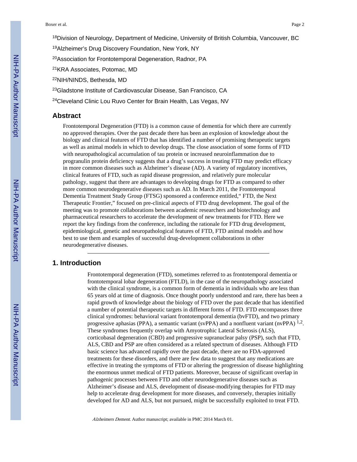<sup>18</sup>Division of Neurology, Department of Medicine, University of British Columbia, Vancouver, BC

<sup>19</sup>Alzheimer's Drug Discovery Foundation, New York, NY

<sup>20</sup>Association for Frontotemporal Degeneration, Radnor, PA

<sup>21</sup>KRA Associates, Potomac, MD

<sup>22</sup>NIH/NINDS, Bethesda, MD

<sup>23</sup>Gladstone Institute of Cardiovascular Disease, San Francisco, CA

<sup>24</sup>Cleveland Clinic Lou Ruvo Center for Brain Health, Las Vegas, NV

#### **Abstract**

Frontotemporal Degeneration (FTD) is a common cause of dementia for which there are currently no approved therapies. Over the past decade there has been an explosion of knowledge about the biology and clinical features of FTD that has identified a number of promising therapeutic targets as well as animal models in which to develop drugs. The close association of some forms of FTD with neuropathological accumulation of tau protein or increased neuroinflammation due to progranulin protein deficiency suggests that a drug's success in treating FTD may predict efficacy in more common diseases such as Alzheimer's disease (AD). A variety of regulatory incentives, clinical features of FTD, such as rapid disease progression, and relatively pure molecular pathology, suggest that there are advantages to developing drugs for FTD as compared to other more common neurodegenerative diseases such as AD. In March 2011, the Frontotemporal Dementia Treatment Study Group (FTSG) sponsored a conference entitled," FTD, the Next Therapeutic Frontier," focused on pre-clinical aspects of FTD drug development. The goal of the meeting was to promote collaborations between academic researchers and biotechnology and pharmaceutical researchers to accelerate the development of new treatments for FTD. Here we report the key findings from the conference, including the rationale for FTD drug development, epidemiological, genetic and neuropathological features of FTD, FTD animal models and how best to use them and examples of successful drug-development collaborations in other neurodegenerative diseases.

#### **1. Introduction**

Frontotemporal degeneration (FTD), sometimes referred to as frontotemporal dementia or frontotemporal lobar degeneration (FTLD), in the case of the neuropathology associated with the clinical syndrome, is a common form of dementia in individuals who are less than 65 years old at time of diagnosis. Once thought poorly understood and rare, there has been a rapid growth of knowledge about the biology of FTD over the past decade that has identified a number of potential therapeutic targets in different forms of FTD. FTD encompasses three clinical syndromes: behavioral variant frontotemporal dementia (bvFTD), and two primary progressive aphasias (PPA), a semantic variant (svPPA) and a nonfluent variant (nvPPA)  $^{1,2}$ . These syndromes frequently overlap with Amyotrophic Lateral Sclerosis (ALS), corticobasal degeneration (CBD) and progressive supranuclear palsy (PSP), such that FTD, ALS, CBD and PSP are often considered as a related spectrum of diseases. Although FTD basic science has advanced rapidly over the past decade, there are no FDA-approved treatments for these disorders, and there are few data to suggest that any medications are effective in treating the symptoms of FTD or altering the progression of disease highlighting the enormous unmet medical of FTD patients. Moreover, because of significant overlap in pathogenic processes between FTD and other neurodegenerative diseases such as Alzheimer's disease and ALS, development of disease-modifying therapies for FTD may help to accelerate drug development for more diseases, and conversely, therapies initially developed for AD and ALS, but not pursued, might be successfully exploited to treat FTD.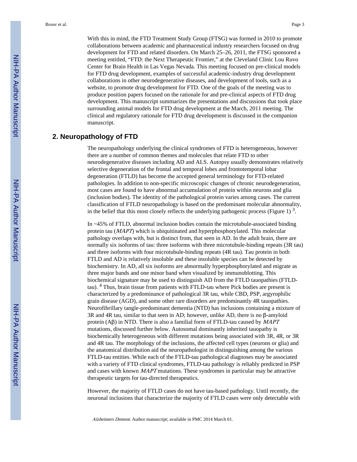With this in mind, the FTD Treatment Study Group (FTSG) was formed in 2010 to promote collaborations between academic and pharmaceutical industry researchers focused on drug development for FTD and related disorders. On March 25–26, 2011, the FTSG sponsored a meeting entitled, "FTD: the Next Therapeutic Frontier," at the Cleveland Clinic Lou Ruvo Center for Brain Health in Las Vegas Nevada. This meeting focused on pre-clinical models for FTD drug development, examples of successful academic-industry drug development collaborations in other neurodegenerative diseases, and development of tools, such as a website, to promote drug development for FTD. One of the goals of the meeting was to produce position papers focused on the rationale for and pre-clinical aspects of FTD drug development. This manuscript summarizes the presentations and discussions that took place surrounding animal models for FTD drug development at the March, 2011 meeting. The clinical and regulatory rationale for FTD drug development is discussed in the companion manuscript.

#### **2. Neuropathology of FTD**

The neuropathology underlying the clinical syndromes of FTD is heterogeneous, however there are a number of common themes and molecules that relate FTD to other neurodegenerative diseases including AD and ALS. Autopsy usually demonstrates relatively selective degeneration of the frontal and temporal lobes and frontotemporal lobar degeneration (FTLD) has become the accepted general terminology for FTD-related pathologies. In addition to non-specific microscopic changes of chronic neurodegeneration, most cases are found to have abnormal accumulation of protein within neurons and glia (inclusion bodies). The identity of the pathological protein varies among cases. The current classification of FTLD neuropathology is based on the predominant molecular abnormality, in the belief that this most closely reflects the underlying pathogenic process (Figure 1)  $^3$ .

In ~45% of FTLD, abnormal inclusion bodies contain the microtubule-associated binding protein tau (MAPT) which is ubiquitinated and hyperphosphorylated. This molecular pathology overlaps with, but is distinct from, that seen in AD. In the adult brain, there are normally six isoforms of tau: three isoforms with three microtubule-binding repeats (3R tau) and three isoforms with four microtubule-binding repeats (4R tau). Tau protein in both FTLD and AD is relatively insoluble and these insoluble species can be detected by biochemistry. In AD, all six isoforms are abnormally hyperphosphorylated and migrate as three major bands and one minor band when visualized by immunoblotting. This biochemical signature may be used to distinguish AD from the FTLD tauopathies (FTLDtau). <sup>4</sup> Thus, brain tissue from patients with FTLD-tau where Pick bodies are present is characterized by a predominance of pathological 3R tau, while CBD, PSP, argyrophilic grain disease (AGD), and some other rare disorders are predominantly 4R tauopathies. Neurofibrillary tangle-predominant dementia (NTD) has inclusions containing a mixture of 3R and 4R tau, similar to that seen in AD; however, unlike AD, there is no β-amyloid protein  $(A\beta)$  in NTD. There is also a familial form of FTLD-tau caused by *MAPT* mutations, discussed further below. Autosomal dominantly inherited tauopathy is biochemically heterogeneous with different mutations being associated with 3R, 4R, or 3R and 4R tau. The morphology of the inclusions, the affected cell types (neurons or glia) and the anatomical distribution aid the neuropathologist in distinguishing among the various FTLD-tau entities. While each of the FTLD-tau pathological diagnoses may be associated with a variety of FTD clinical syndromes, FTLD-tau pathology is reliably predicted in PSP and cases with known MAPT mutations. These syndromes in particular may be attractive therapeutic targets for tau-directed therapeutics.

However, the majority of FTLD cases do not have tau-based pathology. Until recently, the neuronal inclusions that characterize the majority of FTLD cases were only detectable with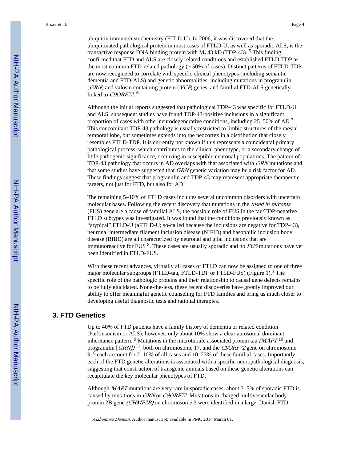ubiquitin immunohistochemistry (FTLD-U). In 2006, it was discovered that the ubiquitinated pathological protein in most cases of FTLD-U, as well as sporadic ALS, is the transactive response DNA binding protein with  $M_r$  43 kD (TDP-43). <sup>5</sup> This finding confirmed that FTD and ALS are closely related conditions and established FTLD-TDP as the most common FTD-related pathology (~ 50% of cases). Distinct patterns of FTLD-TDP are now recognized to correlate with specific clinical phenotypes (including semantic dementia and FTD-ALS) and genetic abnormalities, including mutations in progranulin (GRN) and valosin containing protein (VCP) genes, and familial FTD-ALS genetically linked to C9ORF72.<sup>6</sup>

Although the initial reports suggested that pathological TDP-43 was specific for FTLD-U and ALS, subsequent studies have found TDP-43-positive inclusions in a significant proportion of cases with other neurodegenerative conditions, including  $25-50\%$  of AD<sup>7</sup>. This concomitant TDP-43 pathology is usually restricted to limbic structures of the mesial temporal lobe, but sometimes extends into the neocortex in a distribution that closely resembles FTLD-TDP. It is currently not known if this represents a coincidental primary pathological process, which contributes to the clinical phenotype, or a secondary change of little pathogenic significance, occurring in susceptible neuronal populations. The pattern of TDP-43 pathology that occurs in AD overlaps with that associated with GRN mutations and that some studies have suggested that GRN genetic variation may be a risk factor for AD. These findings suggest that progranulin and TDP-43 may represent appropriate therapeutic targets, not just for FTD, but also for AD.

The remaining 5–10% of FTLD cases includes several uncommon disorders with uncertain molecular bases. Following the recent discovery that mutations in the *fused in sarcoma* (FUS) gene are a cause of familial ALS, the possible role of FUS in the tau/TDP-negative FTLD subtypes was investigated. It was found that the conditions previously known as "atypical" FTLD-U (aFTLD-U; so-called because the inclusions are negative for TDP-43), neuronal intermediate filament inclusion disease (NIFID) and basophilic inclusion body disease (BIBD) are all characterized by neuronal and glial inclusions that are immunoreactive for FUS  $8$ . These cases are usually sporadic and no  $FUS$  mutations have yet been identified in FTLD-FUS.

With these recent advances, virtually all cases of FTLD can now be assigned to one of three major molecular subgroups (FTLD-tau, FTLD-TDP or FTLD-FUS) (Figure 1).<sup>3</sup> The specific role of the pathologic proteins and their relationship to causal gene defects remains to be fully elucidated. None-the-less, these recent discoveries have greatly improved our ability to offer meaningful genetic counseling for FTD families and bring us much closer to developing useful diagnostic tests and rational therapies.

#### **3. FTD Genetics**

Up to 40% of FTD patients have a family history of dementia or related condition (Parkinsonism or ALS); however, only about 10% show a clear autosomal dominant inheritance pattern. <sup>9</sup> Mutations in the microtubule associated protein tau  $(MAPT<sup>10</sup>$  and progranulin  $[GRN]$ <sup>11</sup>, both on chromosome 17, and the C9ORF72 gene on chromosome 9, <sup>6</sup> each account for 2–10% of all cases and 10–23% of these familial cases. Importantly, each of the FTD genetic alterations is associated with a specific neuropathological diagnosis, suggesting that construction of transgenic animals based on these genetic alterations can recapitulate the key molecular phenotypes of FTD.

Although MAPT mutations are very rare in sporadic cases, about 3–5% of sporadic FTD is caused by mutations in GRN or C9ORF72. Mutations in charged multivesicular body protein 2B gene (CHMP2B) on chromosome 3 were identified in a large, Danish FTD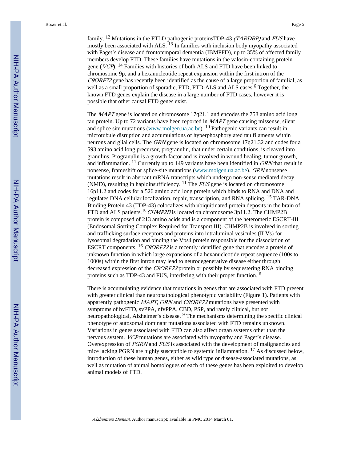Boxer et al. Page 5

family. <sup>12</sup> Mutations in the FTLD pathogenic proteinsTDP-43 (TARDBP) and FUS have mostly been associated with ALS.<sup>13</sup> In families with inclusion body myopathy associated with Paget's disease and frontotemporal dementia (IBMPFD), up to 35% of affected family members develop FTD. These families have mutations in the valosin-containing protein gene (*VCP*). <sup>14</sup> Families with histories of both ALS and FTD have been linked to chromosome 9p, and a hexanucleotide repeat expansion within the first intron of the  $C9ORF72$  gene has recently been identified as the cause of a large proportion of familial, as well as a small proportion of sporadic, FTD, FTD-ALS and ALS cases <sup>6</sup> Together, the known FTD genes explain the disease in a large number of FTD cases, however it is possible that other causal FTD genes exist.

The  $MAPT$  gene is located on chromosome  $17q21.1$  and encodes the 758 amino acid long tau protein. Up to 72 variants have been reported in  $MAPT$  gene causing missense, silent and splice site mutations (www.molgen.ua.ac.be). 10 Pathogenic variants can result in microtubule disruption and accumulations of hyperphosphorylated tau filaments within neurons and glial cells. The GRN gene is located on chromosome 17q21.32 and codes for a 593 amino acid long precursor, progranulin, that under certain conditions, is cleaved into granulins. Progranulin is a growth factor and is involved in wound healing, tumor growth, and inflammation.  $^{11}$  Currently up to 149 variants have been identified in GRN that result in nonsense, frameshift or splice-site mutations (www.molgen.ua.ac.be). GRN nonsense mutations result in aberrant mRNA transcripts which undergo non-sense mediated decay (NMD), resulting in haploinsufficiency. <sup>11</sup> The *FUS* gene is located on chromosome 16p11.2 and codes for a 526 amino acid long protein which binds to RNA and DNA and regulates DNA cellular localization, repair, transcription, and RNA splicing. 15 TAR-DNA Binding Protein 43 (TDP-43) colocalizes with ubiquitinated protein deposits in the brain of FTD and ALS patients.<sup>5</sup> CHMP2B is located on chromosome 3p11.2. The CHMP2B protein is composed of 213 amino acids and is a component of the heteromeric ESCRT-III (Endosomal Sorting Complex Required for Transport III). CHMP2B is involved in sorting and trafficking surface receptors and proteins into intraluminal vesicules (ILVs) for lysosomal degradation and binding the Vps4 protein responsible for the dissociation of ESCRT components. <sup>16</sup> C9ORF72 is a recently identified gene that encodes a protein of unknown function in which large expansions of a hexanucleotide repeat sequence (100s to 1000s) within the first intron may lead to neurodegenerative disease either through decreased expression of the C9ORF72 protein or possibly by sequestering RNA binding proteins such as TDP-43 and FUS, interfering with their proper function. <sup>6</sup>

There is accumulating evidence that mutations in genes that are associated with FTD present with greater clinical than neuropathological phenotypic variability (Figure 1). Patients with apparently pathogenic MAPT, GRN and C9ORF72 mutations have presented with symptoms of bvFTD, svPPA, nfvPPA, CBD, PSP, and rarely clinical, but not neuropathological, Alzheimer's disease. <sup>9</sup> The mechanisms determining the specific clinical phenotype of autosomal dominant mutations associated with FTD remains unknown. Variations in genes associated with FTD can also affect organ systems other than the nervous system. VCP mutations are associated with myopathy and Paget's disease. Overexpression of PGRN and FUS is associated with the development of malignancies and mice lacking PGRN are highly susceptible to systemic inflammation.  $^{17}$  As discussed below, introduction of these human genes, either as wild type or disease-associated mutations, as well as mutation of animal homologues of each of these genes has been exploited to develop animal models of FTD.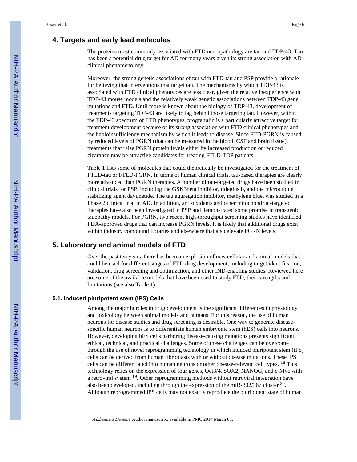#### **4. Targets and early lead molecules**

The proteins most commonly associated with FTD neuropathology are tau and TDP-43. Tau has been a potential drug target for AD for many years given its strong association with AD clinical phenomenology.

Moreover, the strong genetic associations of tau with FTD-tau and PSP provide a rationale for believing that interventions that target tau. The mechanisms by which TDP-43 is associated with FTD clinical phenotypes are less clear, given the relative inexperience with TDP-43 mouse models and the relatively weak genetic associations between TDP-43 gene mutations and FTD. Until more is known about the biology of TDP-43, development of treatments targeting TDP-43 are likely to lag behind those targeting tau. However, within the TDP-43 spectrum of FTD phenotypes, progranulin is a particularly attractive target for treatment development because of its strong association with FTD clinical phenotypes and the haploinsufficiency mechanism by which it leads to disease. Since FTD-PGRN is caused by reduced levels of PGRN (that can be measured in the blood, CSF and brain tissue), treatments that raise PGRN protein levels either by increased production or reduced clearance may be attractive candidates for treating FTLD-TDP patients.

Table 1 lists some of molecules that could theoretically be investigated for the treatment of FTLD-tau or FTLD-PGRN. In terms of human clinical trials, tau-based therapies are clearly more advanced than PGRN therapies. A number of tau-targeted drugs have been studied in clinical trials for PSP, including the GSK3beta inhibitor, tideglusib, and the microtubule stabilizing agent davunetide. The tau aggregation inhibitor, methylene blue, was studied in a Phase 2 clinical trial in AD. In addition, anti-oxidants and other mitochondrial-targeted therapies have also been investigated in PSP and demonstrated some promise in transgenic tauopathy models. For PGRN, two recent high-throughput screening studies have identified FDA-approved drugs that can increase PGRN levels. It is likely that additional drugs exist within industry compound libraries and elsewhere that also elevate PGRN levels.

#### **5. Laboratory and animal models of FTD**

Over the past ten years, there has been an explosion of new cellular and animal models that could be used for different stages of FTD drug development, including target identification, validation, drug screening and optimization, and other IND-enabling studies. Reviewed here are some of the available models that have been used to study FTD, their strengths and limitations (see also Table 1).

#### **5.1. Induced pluripotent stem (iPS) Cells**

Among the major hurdles in drug development is the significant differences in physiology and toxicology between animal models and humans. For this reason, the use of human neurons for disease studies and drug screening is desirable. One way to generate diseasespecific human neurons is to differentiate human embryonic stem (hES) cells into neurons. However, developing hES cells harboring disease-causing mutations presents significant ethical, technical, and practical challenges. Some of these challenges can be overcome through the use of novel reprogramming technology in which induced pluripotent stem (iPS) cells can be derived from human fibroblasts with or without disease mutations. These iPS cells can be differentiated into human neurons or other disease-relevant cell types. 18 This technology relies on the expression of four genes, Oct3/4, SOX2, NANOG, and c-Myc with a retroviral system 19. Other reprogramming methods without retroviral integration have also been developed, including through the expression of the miR-302/367 cluster  $^{20}$ . Although reprogrammed iPS cells may not exactly reproduce the pluripotent state of human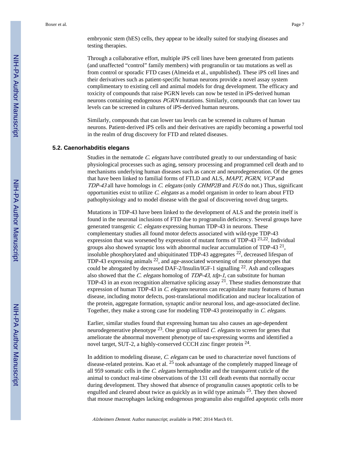embryonic stem (hES) cells, they appear to be ideally suited for studying diseases and testing therapies.

Through a collaborative effort, multiple iPS cell lines have been generated from patients (and unaffected "control" family members) with progranulin or tau mutations as well as from control or sporadic FTD cases (Almeida et al., unpublished). These iPS cell lines and their derivatives such as patient-specific human neurons provide a novel assay system complimentary to existing cell and animal models for drug development. The efficacy and toxicity of compounds that raise PGRN levels can now be tested in iPS-derived human neurons containing endogenous PGRN mutations. Similarly, compounds that can lower tau levels can be screened in cultures of iPS-derived human neurons.

Similarly, compounds that can lower tau levels can be screened in cultures of human neurons. Patient-derived iPS cells and their derivatives are rapidly becoming a powerful tool in the realm of drug discovery for FTD and related diseases.

#### **5.2. Caenorhabditis elegans**

Studies in the nematode C. elegans have contributed greatly to our understanding of basic physiological processes such as aging, sensory processing and programmed cell death and to mechanisms underlying human diseases such as cancer and neurodegeneration. Of the genes that have been linked to familial forms of FTLD and ALS, MAPT, PGRN, VCP and TDP-43 all have homologs in C. elegans (only CHMP2B and FUS do not.) Thus, significant opportunities exist to utilize  $C.$  elegans as a model organism in order to learn about FTD pathophysiology and to model disease with the goal of discovering novel drug targets.

Mutations in TDP-43 have been linked to the development of ALS and the protein itself is found in the neuronal inclusions of FTD due to progranulin deficiency. Several groups have generated transgenic C. elegans expressing human TDP-43 in neurons. These complementary studies all found motor defects associated with wild-type TDP-43 expression that was worsened by expression of mutant forms of TDP-43  $21,22$ . Individual groups also showed synaptic loss with abnormal nuclear accumulation of TDP-43  $21$ , insoluble phosphorylated and ubiquitinated TDP-43 aggregates 22, decreased lifespan of TDP-43 expressing animals <sup>22</sup>, and age-associated worsening of motor phenotypes that could be abrogated by decreased DAF-2/Insulin/IGF-1 signalling 22. Ash and colleagues also showed that the C. elegans homolog of TDP-43, tdp-1, can substitute for human TDP-43 in an exon recognition alternative splicing assay  $2<sup>1</sup>$ . These studies demonstrate that expression of human TDP-43 in C. elegans neurons can recapitulate many features of human disease, including motor defects, post-translational modification and nuclear localization of the protein, aggregate formation, synaptic and/or neuronal loss, and age-associated decline. Together, they make a strong case for modeling TDP-43 proteinopathy in C. elegans.

Earlier, similar studies found that expressing human tau also causes an age-dependent neurodegenerative phenotype  $^{23}$ . One group utilized *C. elegans* to screen for genes that ameliorate the abnormal movement phenotype of tau-expressing worms and identified a novel target, SUT-2, a highly-conserved CCCH zinc finger protein <sup>24</sup>.

In addition to modeling disease, C. elegans can be used to characterize novel functions of disease-related proteins. Kao et al.  $^{25}$  took advantage of the completely mapped lineage of all 959 somatic cells in the C. elegans hermaphrodite and the transparent cuticle of the animal to conduct real-time observations of the 131 cell death events that normally occur during development. They showed that absence of progranulin causes apoptotic cells to be engulfed and cleared about twice as quickly as in wild type animals 25. They then showed that mouse macrophages lacking endogenous progranulin also engulfed apoptotic cells more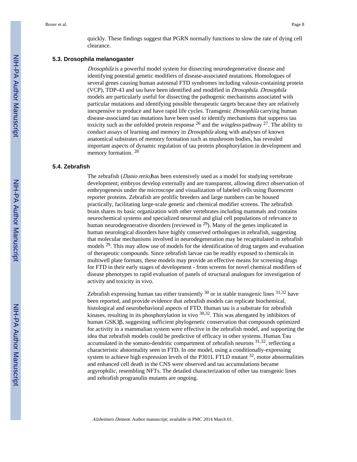quickly. These findings suggest that PGRN normally functions to slow the rate of dying cell clearance.

#### **5.3. Drosophila melanogaster**

Drosophila is a powerful model system for dissecting neurodegenerative disease and identifying potential genetic modifiers of disease-associated mutations. Homologues of several genes causing human autosmal FTD syndromes including valosin-containing protein (VCP), TDP-43 and tau have been identified and modified in Drosophila. Drosophila models are particularly useful for dissecting the pathogenic mechanisms associated with particular mutations and identifying possible therapeutic targets because they are relatively inexpensive to produce and have rapid life cycles. Transgenic *Drosophila* carrying human disease-associated tau mutations have been used to identify mechanisms that suppress tau toxicity such as the unfolded protein response  $^{26}$  and the *wingless* pathway  $^{27}$ . The ability to conduct assays of learning and memory in *Drosophila* along with analyses of known anatomical substrates of memory formation such as mushroom bodies, has revealed important aspects of dynamic regulation of tau protein phosphorylation in development and memory formation. <sup>28</sup>

#### **5.4. Zebrafish**

The zebrafish (Danio rerio)has been extensively used as a model for studying vertebrate development; embryos develop externally and are transparent, allowing direct observation of embryogenesis under the microscope and visualization of labeled cells using fluorescent reporter proteins. Zebrafish are prolific breeders and large numbers can be housed practically, facilitating large-scale genetic and chemical modifier screens. The zebrafish brain shares its basic organization with other vertebrates including mammals and contains neurochemical systems and specialized neuronal and glial cell populations of relevance to human neurodegenerative disorders (reviewed in 29). Many of the genes implicated in human neurological disorders have highly conserved orthologues in zebrafish, suggesting that molecular mechanisms involved in neurodegeneration may be recapitulated in zebrafish models <sup>29</sup>. This may allow use of models for the identification of drug targets and evaluation of therapeutic compounds. Since zebrafish larvae can be readily exposed to chemicals in multiwell plate formats, these models may provide an effective means for screening drugs for FTD in their early stages of development - from screens for novel chemical modifiers of disease phenotypes to rapid evaluation of panels of structural analogues for investigation of activity and toxicity in vivo.

Zebrafish expressing human tau either transiently  $30$  or in stable transgenic lines  $31,32$  have been reported, and provide evidence that zebrafish models can replicate biochemical, histological and neurobehavioral aspects of FTD. Human tau is a substrate for zebrafish kinases, resulting in its phosphorylation in vivo  $30,32$ . This was abrogated by inhibitors of human GSK3β, suggesting sufficient phylogenetic conservation that compounds optimized for activity in a mammalian system were effective in the zebrafish model, and supporting the idea that zebrafish models could be predictive of efficacy in other systems. Human Tau accumulated in the somato-dendritic compartment of zebrafish neurons  $31,32$ , reflecting a characteristic abnormality seen in FTD. In one model, using a conditionally-expressing system to achieve high expression levels of the P301L FTLD mutant  $32$ , motor abnormalities and enhanced cell death in the CNS were observed and tau accumulations became argyrophilic, resembling NFTs. The detailed characterization of other tau transgenic lines and zebrafish progranulin mutants are ongoing.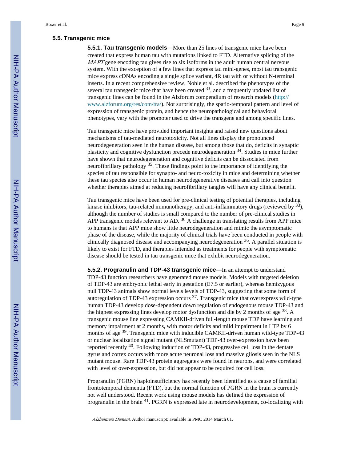#### **5.5. Transgenic mice**

**5.5.1. Tau transgenic models—**More than 25 lines of transgenic mice have been created that express human tau with mutations linked to FTD. Alternative splicing of the MAPT gene encoding tau gives rise to six isoforms in the adult human central nervous system. With the exception of a few lines that express tau mini-genes, most tau transgenic mice express cDNAs encoding a single splice variant, 4R tau with or without N-terminal inserts. In a recent comprehensive review, Noble et al. described the phenotypes of the several tau transgenic mice that have been created  $33$ , and a frequently updated list of transgenic lines can be found in the Alzforum compendium of research models ([http://](http://www.alzforum.org/res/com/tra/) [www.alzforum.org/res/com/tra/\)](http://www.alzforum.org/res/com/tra/). Not surprisingly, the spatio-temporal pattern and level of expression of transgenic protein, and hence the neuropathological and behavioral phenotypes, vary with the promoter used to drive the transgene and among specific lines.

Tau transgenic mice have provided important insights and raised new questions about mechanisms of tau-mediated neurotoxicity. Not all lines display the pronounced neurodegeneration seen in the human disease, but among those that do, deficits in synaptic plasticity and cognitive dysfunction precede neurodegeneration 34. Studies in mice further have shown that neurodegeneration and cognitive deficits can be dissociated from neurofibrillary pathology  $35$ . These findings point to the importance of identifying the species of tau responsible for synapto- and neuro-toxicity in mice and determining whether these tau species also occur in human neurodegenerative diseases and call into question whether therapies aimed at reducing neurofibrillary tangles will have any clinical benefit.

Tau transgenic mice have been used for pre-clinical testing of potential therapies, including kinase inhibitors, tau-related immunotherapy, and anti-inflammatory drugs (reviewed by <sup>33</sup>), although the number of studies is small compared to the number of pre-clinical studies in APP transgenic models relevant to AD.  $36$  A challenge in translating results from APP mice to humans is that APP mice show little neurodegeneration and mimic the asymptomatic phase of the disease, while the majority of clinical trials have been conducted in people with clinically diagnosed disease and accompanying neurodegeneration  $36$ . A parallel situation is likely to exist for FTD, and therapies intended as treatments for people with symptomatic disease should be tested in tau transgenic mice that exhibit neurodegeneration.

**5.5.2. Progranulin and TDP-43 transgenic mice—**In an attempt to understand TDP-43 function researchers have generated mouse models. Models with targeted deletion of TDP-43 are embryonic lethal early in gestation (E7.5 or earlier), whereas hemizygous null TDP-43 animals show normal levels levels of TDP-43, suggesting that some form of autoregulation of TDP-43 expression occurs  $37$ . Transgenic mice that overexpress wild-type human TDP-43 develop dose-dependent down regulation of endogenous mouse TDP-43 and the highest expressing lines develop motor dysfunction and die by 2 months of age <sup>38</sup>. A transgenic mouse line expressing CAMKII-driven full-length mouse TDP have learning and memory impairment at 2 months, with motor deficits and mild impairment in LTP by 6 months of age <sup>39</sup>. Transgenic mice with inducible CAMKII-driven human wild-type TDP-43 or nuclear localization signal mutant (NLSmutant) TDP-43 over-expression have been reported recently 40. Following induction of TDP-43, progressive cell loss in the dentate gyrus and cortex occurs with more acute neuronal loss and massive gliosis seen in the NLS mutant mouse. Rare TDP-43 protein aggregates were found in neurons, and were correlated with level of over-expression, but did not appear to be required for cell loss.

Progranulin (PGRN) haploinsufficiency has recently been identified as a cause of familial frontotemporal dementia (FTD), but the normal function of PGRN in the brain is currently not well understood. Recent work using mouse models has defined the expression of progranulin in the brain 41. PGRN is expressed late in neurodevelopment, co-localizing with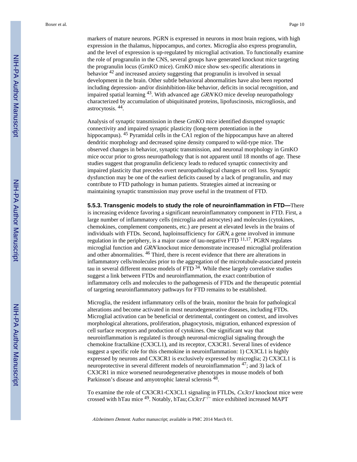Boxer et al. Page 10

markers of mature neurons. PGRN is expressed in neurons in most brain regions, with high expression in the thalamus, hippocampus, and cortex. Microglia also express progranulin, and the level of expression is up-regulated by microglial activation. To functionally examine the role of progranulin in the CNS, several groups have generated knockout mice targeting the progranulin locus (GrnKO mice). GrnKO mice show sex-specific alterations in behavior 42 and increased anxiety suggesting that progranulin is involved in sexual development in the brain. Other subtle behavioral abnormalities have also been reported including depression- and/or disinhibition-like behavior, deficits in social recognition, and impaired spatial learning  $43$ . With advanced age GRN KO mice develop neuropathology characterized by accumulation of ubiquitinated proteins, lipofuscinosis, microgliosis, and astrocytosis. <sup>44</sup> .

Analysis of synaptic transmission in these GrnKO mice identified disrupted synaptic connectivity and impaired synaptic plasticity (long-term potentiation in the hippocampus). <sup>45</sup> Pyramidal cells in the CA1 region of the hippocampus have an altered dendritic morphology and decreased spine density compared to wild-type mice. The observed changes in behavior, synaptic transmission, and neuronal morphology in GrnKO mice occur prior to gross neuropathology that is not apparent until 18 months of age. These studies suggest that progranulin deficiency leads to reduced synaptic connectivity and impaired plasticity that precedes overt neuropathological changes or cell loss. Synaptic dysfunction may be one of the earliest deficits caused by a lack of progranulin, and may contribute to FTD pathology in human patients. Strategies aimed at increasing or maintaining synaptic transmission may prove useful in the treatment of FTD.

**5.5.3. Transgenic models to study the role of neuroinflammation in FTD—**There is increasing evidence favoring a significant neuroinflammatory component in FTD. First, a large number of inflammatory cells (microglia and astrocytes) and molecules (cytokines, chemokines, complement components, etc.) are present at elevated levels in the brains of individuals with FTDs. Second, haploinsufficiency for GRN, a gene involved in immune regulation in the periphery, is a major cause of tau-negative FTD 11,17. PGRN regulates microglial function and GRN knockout mice demonstrate increased microglial proliferation and other abnormalities. 46 Third, there is recent evidence that there are alterations in inflammatory cells/molecules prior to the aggregation of the microtubule-associated protein tau in several different mouse models of  $FTD<sup>34</sup>$ . While these largely correlative studies suggest a link between FTDs and neuroinflammation, the exact contribution of inflammatory cells and molecules to the pathogenesis of FTDs and the therapeutic potential of targeting neuroinflammatory pathways for FTD remains to be established.

Microglia, the resident inflammatory cells of the brain, monitor the brain for pathological alterations and become activated in most neurodegenerative diseases, including FTDs. Microglial activation can be beneficial or detrimental, contingent on context, and involves morphological alterations, proliferation, phagocytosis, migration, enhanced expression of cell surface receptors and production of cytokines. One significant way that neuroinflammation is regulated is through neuronal-microglial signaling through the chemokine fractalkine (CX3CL1), and its receptor, CX3CR1. Several lines of evidence suggest a specific role for this chemokine in neuroinflammation: 1) CX3CL1 is highly expressed by neurons and CX3CR1 is exclusively expressed by microglia; 2) CX3CL1 is neuroprotective in several different models of neuroinflammation  $47$ ; and 3) lack of CX3CR1 in mice worsened neurodegenerative phenotypes in mouse models of both Parkinson's disease and amyotrophic lateral sclerosis <sup>48</sup>.

To examine the role of CX3CR1-CX3CL1 signaling in FTLDs, Cx3cr1 knockout mice were crossed with hTau mice <sup>49</sup>. Notably, hTau;  $Cx3cr1^{-/-}$  mice exhibited increased MAPT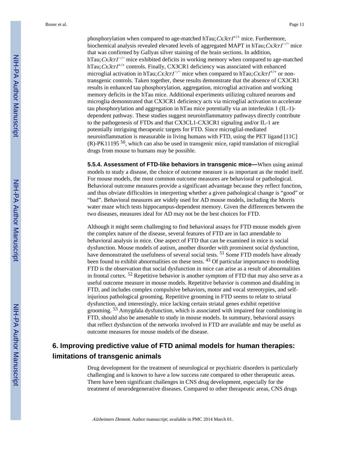phosphorylation when compared to age-matched hTau;  $Cx3cr1^{+/+}$  mice. Furthermore, biochemical analysis revealed elevated levels of aggregated MAPT in hTau;  $Cx3cr1^{-/-}$  mice that was confirmed by Gallyas silver staining of the brain sections. In addition, hTau;  $Cx3cr1^{-/-}$  mice exhibited deficits in working memory when compared to age-matched hTau;  $Cx3crI^{+/+}$  controls. Finally, CX3CR1 deficiency was associated with enhanced microglial activation in hTau;  $Cx3cr1^{-/-}$  mice when compared to hTau;  $Cx3cr1^{+/+}$  or nontransgenic controls. Taken together, these results demonstrate that the absence of CX3CR1 results in enhanced tau phosphorylation, aggregation, microglial activation and working memory deficits in the hTau mice. Additional experiments utilizing cultured neurons and microglia demonstrated that CX3CR1 deficiency acts via microglial activation to accelerate tau phosphorylation and aggregation in hTau mice potentially via an interleukin 1 (IL-1) dependent pathway. These studies suggest neuroinflammatory pathways directly contribute to the pathogenesis of FTDs and that CX3CL1-CX3CR1 signaling and/or IL-1 are potentially intriguing therapeutic targets for FTD. Since microglial-mediated neuroinflammation is measurable in living humans with FTD, using the PET ligand [11C]  $(R)$ -PK11195<sup>50</sup>, which can also be used in transgenic mice, rapid translation of microglial drugs from mouse to humans may be possible.

**5.5.4. Assessment of FTD-like behaviors in transgenic mice—**When using animal models to study a disease, the choice of outcome measure is as important as the model itself. For mouse models, the most common outcome measures are behavioral or pathological. Behavioral outcome measures provide a significant advantage because they reflect function, and thus obviate difficulties in interpreting whether a given pathological change is "good" or "bad". Behavioral measures are widely used for AD mouse models, including the Morris water maze which tests hippocampus-dependent memory. Given the differences between the two diseases, measures ideal for AD may not be the best choices for FTD.

Although it might seem challenging to find behavioral assays for FTD mouse models given the complex nature of the disease, several features of FTD are in fact amendable to behavioral analysis in mice. One aspect of FTD that can be examined in mice is social dysfunction. Mouse models of autism, another disorder with prominent social dysfunction, have demonstrated the usefulness of several social tests. <sup>51</sup> Some FTD models have already been found to exhibit abnormalities on these tests. <sup>43</sup> Of particular importance to modeling FTD is the observation that social dysfunction in mice can arise as a result of abnormalities in frontal cortex. 52 Repetitive behavior is another symptom of FTD that may also serve as a useful outcome measure in mouse models. Repetitive behavior is common and disabling in FTD, and includes complex compulsive behaviors, motor and vocal stereotypies, and selfinjurious pathological grooming. Repetitive grooming in FTD seems to relate to striatal dysfunction, and interestingly, mice lacking certain striatal genes exhibit repetitive grooming. 53 Amygdala dysfunction, which is associated with impaired fear conditioning in FTD, should also be amenable to study in mouse models. In summary, behavioral assays that reflect dysfunction of the networks involved in FTD are available and may be useful as outcome measures for mouse models of the disease.

#### **6. Improving predictive value of FTD animal models for human therapies: limitations of transgenic animals**

Drug development for the treatment of neurological or psychiatric disorders is particularly challenging and is known to have a low success rate compared to other therapeutic areas. There have been significant challenges in CNS drug development, especially for the treatment of neurodegenerative diseases. Compared to other therapeutic areas, CNS drugs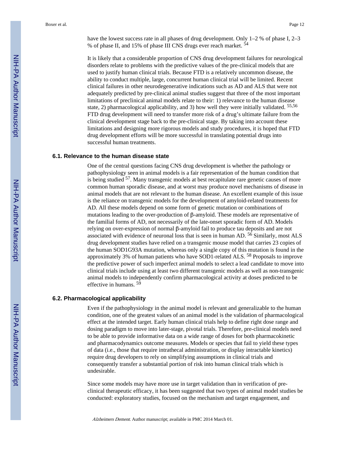have the lowest success rate in all phases of drug development. Only 1-2 % of phase I, 2-3 % of phase II, and 15% of phase III CNS drugs ever reach market. <sup>54</sup>

It is likely that a considerable proportion of CNS drug development failures for neurological disorders relate to problems with the predictive values of the pre-clinical models that are used to justify human clinical trials. Because FTD is a relatively uncommon disease, the ability to conduct multiple, large, concurrent human clinical trial will be limited. Recent clinical failures in other neurodegenerative indications such as AD and ALS that were not adequately predicted by pre-clinical animal studies suggest that three of the most important limitations of preclinical animal models relate to their: 1) relevance to the human disease state, 2) pharmacological applicability, and 3) how well they were initially validated. 55,56 FTD drug development will need to transfer more risk of a drug's ultimate failure from the clinical development stage back to the pre-clinical stage. By taking into account these limitations and designing more rigorous models and study procedures, it is hoped that FTD drug development efforts will be more successful in translating potential drugs into successful human treatments.

#### **6.1. Relevance to the human disease state**

One of the central questions facing CNS drug development is whether the pathology or pathophysiology seen in animal models is a fair representation of the human condition that is being studied <sup>57</sup>. Many transgenic models at best recapitulate rare genetic causes of more common human sporadic disease, and at worst may produce novel mechanisms of disease in animal models that are not relevant to the human disease. An excellent example of this issue is the reliance on transgenic models for the development of amyloid-related treatments for AD. All these models depend on some form of genetic mutation or combinations of mutations leading to the over-production of β-amyloid. These models are representative of the familial forms of AD, not necessarily of the late-onset sporadic form of AD. Models relying on over-expression of normal β-amyloid fail to produce tau deposits and are not associated with evidence of neuronal loss that is seen in human AD. 56 Similarly, most ALS drug development studies have relied on a transgenic mouse model that carries 23 copies of the human SOD1G93A mutation, whereas only a single copy of this mutation is found in the approximately 3% of human patients who have SOD1-related ALS. 58 Proposals to improve the predictive power of such imperfect animal models to select a lead candidate to move into clinical trials include using at least two different transgenic models as well as non-transgenic animal models to independently confirm pharmacological activity at doses predicted to be effective in humans. <sup>59</sup>

#### **6.2. Pharmacological applicability**

Even if the pathophysiology in the animal model is relevant and generalizable to the human condition, one of the greatest values of an animal model is the validation of pharmacological effect at the intended target. Early human clinical trials help to define right dose range and dosing paradigm to move into later-stage, pivotal trials. Therefore, pre-clinical models need to be able to provide informative data on a wide range of doses for both pharmacokinetic and pharmacodynamics outcome measures. Models or species that fail to yield these types of data (i.e., those that require intrathecal administration, or display intractable kinetics) require drug developers to rely on simplifying assumptions in clinical trials and consequently transfer a substantial portion of risk into human clinical trials which is undesirable.

Since some models may have more use in target validation than in verification of preclinical therapeutic efficacy, it has been suggested that two types of animal model studies be conducted: exploratory studies, focused on the mechanism and target engagement, and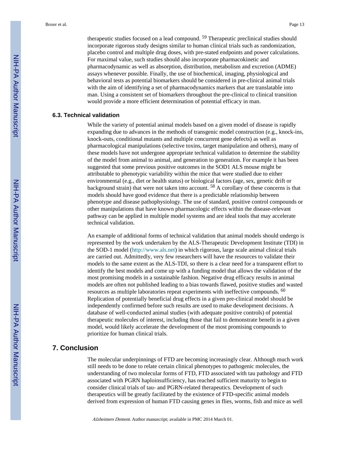therapeutic studies focused on a lead compound. <sup>59</sup> Therapeutic preclinical studies should incorporate rigorous study designs similar to human clinical trials such as randomization, placebo control and multiple drug doses, with pre-stated endpoints and power calculations. For maximal value, such studies should also incorporate pharmacokinetic and pharmacodynamic as well as absorption, distribution, metabolism and excretion (ADME) assays whenever possible. Finally, the use of biochemical, imaging, physiological and behavioral tests as potential biomarkers should be considered in pre-clinical animal trials with the aim of identifying a set of pharmacodynamics markers that are translatable into man. Using a consistent set of biomarkers throughout the pre-clinical to clinical transition would provide a more efficient determination of potential efficacy in man.

#### **6.3. Technical validation**

While the variety of potential animal models based on a given model of disease is rapidly expanding due to advances in the methods of transgenic model construction (e.g., knock-ins, knock-outs, conditional mutants and multiple concurrent gene defects) as well as pharmacological manipulations (selective toxins, target manipulation and others), many of these models have not undergone appropriate technical validation to determine the stability of the model from animal to animal, and generation to generation. For example it has been suggested that some previous positive outcomes in the SOD1 ALS mouse might be attributable to phenotypic variability within the mice that were studied due to either environmental (e.g., diet or health status) or biological factors (age, sex, genetic drift or background strain) that were not taken into account. 58 A corollary of these concerns is that models should have good evidence that there is a predictable relationship between phenotype and disease pathophysiology. The use of standard, positive control compounds or other manipulations that have known pharmacologic effects within the disease-relevant pathway can be applied in multiple model systems and are ideal tools that may accelerate technical validation.

An example of additional forms of technical validation that animal models should undergo is represented by the work undertaken by the ALS-Therapeutic Development Institute (TDI) in the SOD-1 model [\(http://www.als.net](http://www.als.net)) in which rigorous, large scale animal clinical trials are carried out. Admittedly, very few researchers will have the resources to validate their models to the same extent as the ALS-TDI, so there is a clear need for a transparent effort to identify the best models and come up with a funding model that allows the validation of the most promising models in a sustainable fashion. Negative drug efficacy results in animal models are often not published leading to a bias towards flawed, positive studies and wasted resources as multiple laboratories repeat experiments with ineffective compounds. <sup>60</sup> Replication of potentially beneficial drug effects in a given pre-clinical model should be independently confirmed before such results are used to make development decisions. A database of well-conducted animal studies (with adequate positive controls) of potential therapeutic molecules of interest, including those that fail to demonstrate benefit in a given model, would likely accelerate the development of the most promising compounds to prioritize for human clinical trials.

#### **7. Conclusion**

The molecular underpinnings of FTD are becoming increasingly clear. Although much work still needs to be done to relate certain clinical phenotypes to pathogenic molecules, the understanding of two molecular forms of FTD, FTD associated with tau pathology and FTD associated with PGRN haploinsufficiency, has reached sufficient maturity to begin to consider clinical trials of tau- and PGRN-related therapeutics. Development of such therapeutics will be greatly facilitated by the existence of FTD-specific animal models derived from expression of human FTD causing genes in flies, worms, fish and mice as well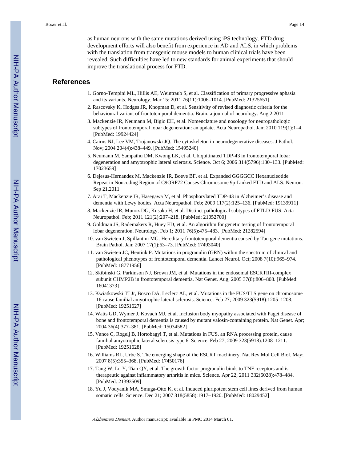as human neurons with the same mutations derived using iPS technology. FTD drug development efforts will also benefit from experience in AD and ALS, in which problems with the translation from transgenic mouse models to human clinical trials have been revealed. Such difficulties have led to new standards for animal experiments that should improve the translational process for FTD.

#### **References**

- 1. Gorno-Tempini ML, Hillis AE, Weintraub S, et al. Classification of primary progressive aphasia and its variants. Neurology. Mar 15; 2011 76(11):1006–1014. [PubMed: 21325651]
- 2. Rascovsky K, Hodges JR, Knopman D, et al. Sensitivity of revised diagnostic criteria for the behavioural variant of frontotemporal dementia. Brain: a journal of neurology. Aug 2.2011
- 3. Mackenzie IR, Neumann M, Bigio EH, et al. Nomenclature and nosology for neuropathologic subtypes of frontotemporal lobar degeneration: an update. Acta Neuropathol. Jan; 2010 119(1):1-4. [PubMed: 19924424]
- 4. Cairns NJ, Lee VM, Trojanowski JQ. The cytoskeleton in neurodegenerative diseases. J Pathol. Nov; 2004 204(4):438–449. [PubMed: 15495240]
- 5. Neumann M, Sampathu DM, Kwong LK, et al. Ubiquitinated TDP-43 in frontotemporal lobar degeneration and amyotrophic lateral sclerosis. Science. Oct 6; 2006 314(5796):130–133. [PubMed: 17023659]
- 6. Dejesus-Hernandez M, Mackenzie IR, Boeve BF, et al. Expanded GGGGCC Hexanucleotide Repeat in Noncoding Region of C9ORF72 Causes Chromosome 9p-Linked FTD and ALS. Neuron. Sep 21.2011
- 7. Arai T, Mackenzie IR, Hasegawa M, et al. Phosphorylated TDP-43 in Alzheimer's disease and dementia with Lewy bodies. Acta Neuropathol. Feb; 2009 117(2):125–136. [PubMed: 19139911]
- 8. Mackenzie IR, Munoz DG, Kusaka H, et al. Distinct pathological subtypes of FTLD-FUS. Acta Neuropathol. Feb; 2011 121(2):207–218. [PubMed: 21052700]
- 9. Goldman JS, Rademakers R, Huey ED, et al. An algorithm for genetic testing of frontotemporal lobar degeneration. Neurology. Feb 1; 2011 76(5):475–483. [PubMed: 21282594]
- 10. van Swieten J, Spillantini MG. Hereditary frontotemporal dementia caused by Tau gene mutations. Brain Pathol. Jan; 2007 17(1):63–73. [PubMed: 17493040]
- 11. van Swieten JC, Heutink P. Mutations in progranulin (GRN) within the spectrum of clinical and pathological phenotypes of frontotemporal dementia. Lancet Neurol. Oct; 2008 7(10):965–974. [PubMed: 18771956]
- 12. Skibinski G, Parkinson NJ, Brown JM, et al. Mutations in the endosomal ESCRTIII-complex subunit CHMP2B in frontotemporal dementia. Nat Genet. Aug; 2005 37(8):806–808. [PubMed: 16041373]
- 13. Kwiatkowski TJ Jr, Bosco DA, Leclerc AL, et al. Mutations in the FUS/TLS gene on chromosome 16 cause familial amyotrophic lateral sclerosis. Science. Feb 27; 2009 323(5918):1205–1208. [PubMed: 19251627]
- 14. Watts GD, Wymer J, Kovach MJ, et al. Inclusion body myopathy associated with Paget disease of bone and frontotemporal dementia is caused by mutant valosin-containing protein. Nat Genet. Apr; 2004 36(4):377–381. [PubMed: 15034582]
- 15. Vance C, Rogelj B, Hortobagyi T, et al. Mutations in FUS, an RNA processing protein, cause familial amyotrophic lateral sclerosis type 6. Science. Feb 27; 2009 323(5918):1208–1211. [PubMed: 19251628]
- 16. Williams RL, Urbe S. The emerging shape of the ESCRT machinery. Nat Rev Mol Cell Biol. May; 2007 8(5):355–368. [PubMed: 17450176]
- 17. Tang W, Lu Y, Tian QY, et al. The growth factor progranulin binds to TNF receptors and is therapeutic against inflammatory arthritis in mice. Science. Apr 22; 2011 332(6028):478–484. [PubMed: 21393509]
- 18. Yu J, Vodyanik MA, Smuga-Otto K, et al. Induced pluripotent stem cell lines derived from human somatic cells. Science. Dec 21; 2007 318(5858):1917–1920. [PubMed: 18029452]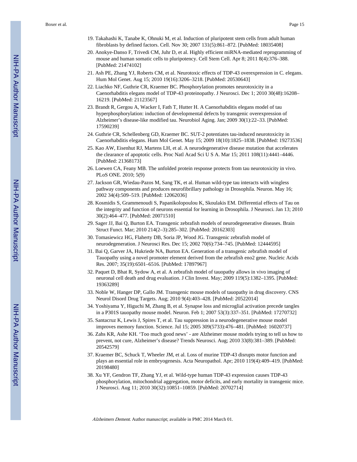- 19. Takahashi K, Tanabe K, Ohnuki M, et al. Induction of pluripotent stem cells from adult human fibroblasts by defined factors. Cell. Nov 30; 2007 131(5):861–872. [PubMed: 18035408]
- 20. Anokye-Danso F, Trivedi CM, Juhr D, et al. Highly efficient miRNA-mediated reprogramming of mouse and human somatic cells to pluripotency. Cell Stem Cell. Apr 8; 2011 8(4):376–388. [PubMed: 21474102]
- 21. Ash PE, Zhang YJ, Roberts CM, et al. Neurotoxic effects of TDP-43 overexpression in C. elegans. Hum Mol Genet. Aug 15; 2010 19(16):3206–3218. [PubMed: 20530643]
- 22. Liachko NF, Guthrie CR, Kraemer BC. Phosphorylation promotes neurotoxicity in a Caenorhabditis elegans model of TDP-43 proteinopathy. J Neurosci. Dec 1; 2010 30(48):16208– 16219. [PubMed: 21123567]
- 23. Brandt R, Gergou A, Wacker I, Fath T, Hutter H. A Caenorhabditis elegans model of tau hyperphosphorylation: induction of developmental defects by transgenic overexpression of Alzheimer's disease-like modified tau. Neurobiol Aging. Jan; 2009 30(1):22–33. [PubMed: 17590239]
- 24. Guthrie CR, Schellenberg GD, Kraemer BC. SUT-2 potentiates tau-induced neurotoxicity in Caenorhabditis elegans. Hum Mol Genet. May 15; 2009 18(10):1825–1838. [PubMed: 19273536]
- 25. Kao AW, Eisenhut RJ, Martens LH, et al. A neurodegenerative disease mutation that accelerates the clearance of apoptotic cells. Proc Natl Acad Sci U S A. Mar 15; 2011 108(11):4441–4446. [PubMed: 21368173]
- 26. Loewen CA, Feany MB. The unfolded protein response protects from tau neurotoxicity in vivo. PLoS ONE. 2010; 5(9)
- 27. Jackson GR, Wiedau-Pazos M, Sang TK, et al. Human wild-type tau interacts with wingless pathway components and produces neurofibrillary pathology in Drosophila. Neuron. May 16; 2002 34(4):509–519. [PubMed: 12062036]
- 28. Kosmidis S, Grammenoudi S, Papanikolopoulou K, Skoulakis EM. Differential effects of Tau on the integrity and function of neurons essential for learning in Drosophila. J Neurosci. Jan 13; 2010 30(2):464–477. [PubMed: 20071510]
- 29. Sager JJ, Bai Q, Burton EA. Transgenic zebrafish models of neurodegenerative diseases. Brain Struct Funct. Mar; 2010 214(2–3):285–302. [PubMed: 20162303]
- 30. Tomasiewicz HG, Flaherty DB, Soria JP, Wood JG. Transgenic zebrafish model of neurodegeneration. J Neurosci Res. Dec 15; 2002 70(6):734–745. [PubMed: 12444595]
- 31. Bai Q, Garver JA, Hukriede NA, Burton EA. Generation of a transgenic zebrafish model of Tauopathy using a novel promoter element derived from the zebrafish eno2 gene. Nucleic Acids Res. 2007; 35(19):6501–6516. [PubMed: 17897967]
- 32. Paquet D, Bhat R, Sydow A, et al. A zebrafish model of tauopathy allows in vivo imaging of neuronal cell death and drug evaluation. J Clin Invest. May; 2009 119(5):1382–1395. [PubMed: 19363289]
- 33. Noble W, Hanger DP, Gallo JM. Transgenic mouse models of tauopathy in drug discovery. CNS Neurol Disord Drug Targets. Aug; 2010 9(4):403–428. [PubMed: 20522014]
- 34. Yoshiyama Y, Higuchi M, Zhang B, et al. Synapse loss and microglial activation precede tangles in a P301S tauopathy mouse model. Neuron. Feb 1; 2007 53(3):337–351. [PubMed: 17270732]
- 35. Santacruz K, Lewis J, Spires T, et al. Tau suppression in a neurodegenerative mouse model improves memory function. Science. Jul 15; 2005 309(5733):476–481. [PubMed: 16020737]
- 36. Zahs KR, Ashe KH. 'Too much good news' are Alzheimer mouse models trying to tell us how to prevent, not cure, Alzheimer's disease? Trends Neurosci. Aug; 2010 33(8):381–389. [PubMed: 20542579]
- 37. Kraemer BC, Schuck T, Wheeler JM, et al. Loss of murine TDP-43 disrupts motor function and plays an essential role in embryogenesis. Acta Neuropathol. Apr; 2010 119(4):409–419. [PubMed: 20198480]
- 38. Xu YF, Gendron TF, Zhang YJ, et al. Wild-type human TDP-43 expression causes TDP-43 phosphorylation, mitochondrial aggregation, motor deficits, and early mortality in transgenic mice. J Neurosci. Aug 11; 2010 30(32):10851–10859. [PubMed: 20702714]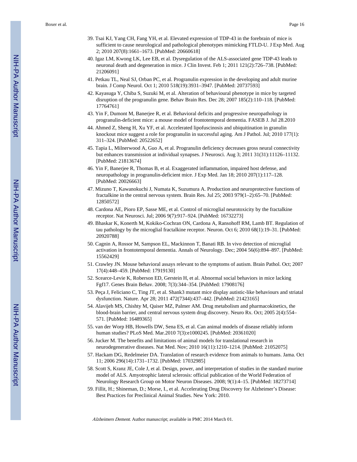- 39. Tsai KJ, Yang CH, Fang YH, et al. Elevated expression of TDP-43 in the forebrain of mice is sufficient to cause neurological and pathological phenotypes mimicking FTLD-U. J Exp Med. Aug 2; 2010 207(8):1661–1673. [PubMed: 20660618]
- 40. Igaz LM, Kwong LK, Lee EB, et al. Dysregulation of the ALS-associated gene TDP-43 leads to neuronal death and degeneration in mice. J Clin Invest. Feb 1; 2011 121(2):726–738. [PubMed: 21206091]
- 41. Petkau TL, Neal SJ, Orban PC, et al. Progranulin expression in the developing and adult murine brain. J Comp Neurol. Oct 1; 2010 518(19):3931–3947. [PubMed: 20737593]
- 42. Kayasuga Y, Chiba S, Suzuki M, et al. Alteration of behavioural phenotype in mice by targeted disruption of the progranulin gene. Behav Brain Res. Dec 28; 2007 185(2):110–118. [PubMed: 17764761]
- 43. Yin F, Dumont M, Banerjee R, et al. Behavioral deficits and progressive neuropathology in progranulin-deficient mice: a mouse model of frontotemporal dementia. FASEB J. Jul 28.2010
- 44. Ahmed Z, Sheng H, Xu YF, et al. Accelerated lipofuscinosis and ubiquitination in granulin knockout mice suggest a role for progranulin in successful aging. Am J Pathol. Jul; 2010 177(1): 311–324. [PubMed: 20522652]
- 45. Tapia L, Milnerwood A, Guo A, et al. Progranulin deficiency decreases gross neural connectivity but enhances transmission at individual synapses. J Neurosci. Aug 3; 2011 31(31):11126–11132. [PubMed: 21813674]
- 46. Yin F, Banerjee R, Thomas B, et al. Exaggerated inflammation, impaired host defense, and neuropathology in progranulin-deficient mice. J Exp Med. Jan 18; 2010 207(1):117–128. [PubMed: 20026663]
- 47. Mizuno T, Kawanokuchi J, Numata K, Suzumura A. Production and neuroprotective functions of fractalkine in the central nervous system. Brain Res. Jul 25; 2003 979(1–2):65–70. [PubMed: 12850572]
- 48. Cardona AE, Pioro EP, Sasse ME, et al. Control of microglial neurotoxicity by the fractalkine receptor. Nat Neurosci. Jul; 2006 9(7):917–924. [PubMed: 16732273]
- 49. Bhaskar K, Konerth M, Kokiko-Cochran ON, Cardona A, Ransohoff RM, Lamb BT. Regulation of tau pathology by the microglial fractalkine receptor. Neuron. Oct 6; 2010 68(1):19–31. [PubMed: 20920788]
- 50. Cagnin A, Rossor M, Sampson EL, Mackinnon T, Banati RB. In vivo detection of microglial activation in frontotemporal dementia. Annals of Neurology. Dec; 2004 56(6):894–897. [PubMed: 15562429]
- 51. Crawley JN. Mouse behavioral assays relevant to the symptoms of autism. Brain Pathol. Oct; 2007 17(4):448–459. [PubMed: 17919130]
- 52. Scearce-Levie K, Roberson ED, Gerstein H, et al. Abnormal social behaviors in mice lacking Fgf17. Genes Brain Behav. 2008; 7(3):344–354. [PubMed: 17908176]
- 53. Peça J, Feliciano C, Ting JT, et al. Shank3 mutant mice display autistic-like behaviours and striatal dysfunction. Nature. Apr 28; 2011 472(7344):437–442. [PubMed: 21423165]
- 54. Alavijeh MS, Chishty M, Qaiser MZ, Palmer AM. Drug metabolism and pharmacokinetics, the blood-brain barrier, and central nervous system drug discovery. Neuro Rx. Oct; 2005 2(4):554– 571. [PubMed: 16489365]
- 55. van der Worp HB, Howells DW, Sena ES, et al. Can animal models of disease reliably inform human studies? PLoS Med. Mar.2010 7(3):e1000245. [PubMed: 20361020]
- 56. Jucker M. The benefits and limitations of animal models for translational research in neurodegenerative diseases. Nat Med. Nov; 2010 16(11):1210–1214. [PubMed: 21052075]
- 57. Hackam DG, Redelmeier DA. Translation of research evidence from animals to humans. Jama. Oct 11; 2006 296(14):1731–1732. [PubMed: 17032985]
- 58. Scott S, Kranz JE, Cole J, et al. Design, power, and interpretation of studies in the standard murine model of ALS. Amyotrophic lateral sclerosis: official publication of the World Federation of Neurology Research Group on Motor Neuron Diseases. 2008; 9(1):4–15. [PubMed: 18273714]
- 59. Fillit, H.; Shineman, D.; Morse, I., et al. Accelerating Drug Discovery for Alzheimer's Disease: Best Practices for Preclinical Animal Studies. New York: 2010.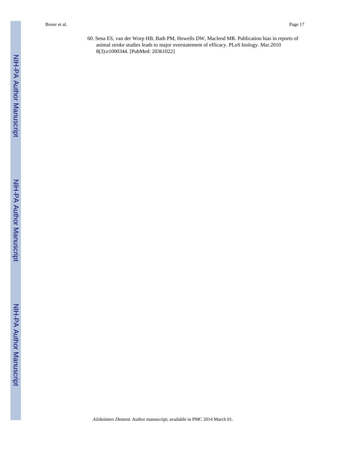60. Sena ES, van der Worp HB, Bath PM, Howells DW, Macleod MR. Publication bias in reports of animal stroke studies leads to major overstatement of efficacy. PLoS biology. Mar.2010 8(3):e1000344. [PubMed: 20361022]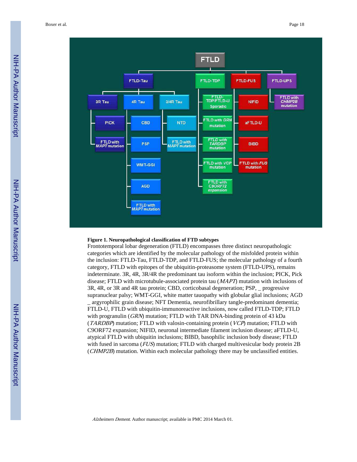

#### **Figure 1. Neuropathological classification of FTD subtypes**

Frontotemporal lobar degeneration (FTLD) encompasses three distinct neuropathologic categories which are identified by the molecular pathology of the misfolded protein within the inclusion: FTLD-Tau, FTLD-TDP, and FTLD-FUS; the molecular pathology of a fourth category, FTLD with epitopes of the ubiquitin-proteasome system (FTLD-UPS), remains indeterminate. 3R, 4R, 3R/4R the predominant tau isoform within the inclusion; PICK, Pick disease; FTLD with microtubule-associated protein tau (MAPT) mutation with inclusions of 3R, 4R, or 3R and 4R tau protein; CBD, corticobasal degeneration; PSP, \_ progressive supranuclear palsy; WMT-GGI, white matter tauopathy with globular glial inclusions; AGD \_ argyrophilic grain disease; NFT Dementia, neurofibrillary tangle-predominant dementia; FTLD-U, FTLD with ubiquitin-immunoreactive inclusions, now called FTLD-TDP; FTLD with progranulin (GRN) mutation; FTLD with TAR DNA-binding protein of 43 kDa (TARDBP) mutation; FTLD with valosin-containing protein (VCP) mutation; FTLD with C9ORF72 expansion; NIFID, neuronal intermediate filament inclusion disease; aFTLD-U, atypical FTLD with ubiquitin inclusions; BIBD, basophilic inclusion body disease; FTLD with fused in sarcoma (*FUS*) mutation; FTLD with charged multivesicular body protein 2B (*CHMP2B*) mutation. Within each molecular pathology there may be unclassified entities.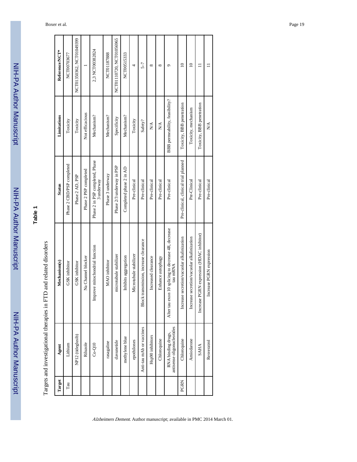NIH-PA Author Manuscript NIH-PA Author Manuscript

NIH-PA Author Manuscript

## **Table 1**

| i                                                                                                                                                                                                                                                                                            |
|----------------------------------------------------------------------------------------------------------------------------------------------------------------------------------------------------------------------------------------------------------------------------------------------|
| FIID and related disc                                                                                                                                                                                                                                                                        |
| $\sim$ and $\sim$ 1 $\sim$ 1 $\sim$ 1 $\sim$ 1 $\sim$ 1 $\sim$ 1 $\sim$ 1 $\sim$ 1 $\sim$ 1 $\sim$ 1 $\sim$ 1 $\sim$ 1 $\sim$ 1 $\sim$ 1 $\sim$ 1 $\sim$ 1 $\sim$ 1 $\sim$ 1 $\sim$ 1 $\sim$ 1 $\sim$ 1 $\sim$ 1 $\sim$ 1 $\sim$ 1 $\sim$ 1 $\sim$ 1 $\sim$ 1 $\sim$ 1 $\sim$ 1 $\sim$ 1 $\$ |
|                                                                                                                                                                                                                                                                                              |
| 10.000mm mm mm mm                                                                                                                                                                                                                                                                            |
| l'arrete and investigational theramee in l                                                                                                                                                                                                                                                   |
|                                                                                                                                                                                                                                                                                              |
| י<br>בא<br>ŀ                                                                                                                                                                                                                                                                                 |

| Reference/NCT* | NCT00703677               | NCT01350362, NCT01049399 |                       | 2,3 NCT00382824                               | NCT01187888      | NCT01110720, NCT01056965  | NCT00515333             | 4                      | $5 - 7$                                | ${}^{\circ}$        | $^{\circ}$        | ٥                                                               | $\supseteq$                                     | $\supseteq$                                | ⊟                                            |                                   |
|----------------|---------------------------|--------------------------|-----------------------|-----------------------------------------------|------------------|---------------------------|-------------------------|------------------------|----------------------------------------|---------------------|-------------------|-----------------------------------------------------------------|-------------------------------------------------|--------------------------------------------|----------------------------------------------|-----------------------------------|
| Limitations    | Toxicity                  | Toxicity                 | Not efficacious       | Mechanism?                                    | Mechanism?       | Specificity               | Mechanism?              | Toxicity               | Safety?                                | ΧÁ                  | XX)               | BBB permeability, feasibility?                                  | Toxicity, BBB penetration                       | Toxicity, mechanism                        | Toxicity, BBB penetration                    | $\frac{\triangleleft}{\triangle}$ |
| <b>Status</b>  | Phase 2 CBD/PSP completed | Phase 2 AD, PSP          | Phase 2 PSP completed | Phase 2 in PSP completed, Phase<br>3 underway | Phase 3 underway | Phase 2/3 underway in PSP | Completed phase 2 in AD | Pre-clinical           | Pre-clinical                           | Pre-clinical        | Pre-clinical      | Pre-clinical                                                    | Pre-clinical, clinical trial planned            | Pre-Clinical                               | Pre-clinical                                 | Pre-clinical                      |
| Mechanism(s)   | GSK inhibitor             | GSK inhibitor            | Na Channel blocker    | mprove mitochondrial function                 | MAO inhibitor    | microtubule stabilizer    | Inhibits aggregation    | Microtubule stabilizer | Block transmission, increase clearance | Increased clearance | Enhance autophagy | Alter tau exon 10 splicing to decrease 4R, decrease<br>tau mRNA | ase secretion/vacuolar alkalinization<br>Increa | Increase secretion/vacuolar alkalinization | PGRN expression (HDAC inhibitor)<br>Increase | Increase PGRN expression          |
| Agent          | Lithium                   | NP12 (tideglusib)        | Riluzole              | $Co-Q10$                                      | rasagaline       | davunetide                | methylene blue          | epothilones            | Anti-tau mAb or vaccines               | Hsp90 inhibitors    | Chloroquine       | antisense oligonucleotides<br>RNA binding drugs,                | Chloroquine                                     | Amiodarone                                 | <b>SAHA</b>                                  | Resveratrol                       |
| Target         | $\rm{Ta}$                 |                          |                       |                                               |                  |                           |                         |                        |                                        |                     |                   |                                                                 | PGRN                                            |                                            |                                              |                                   |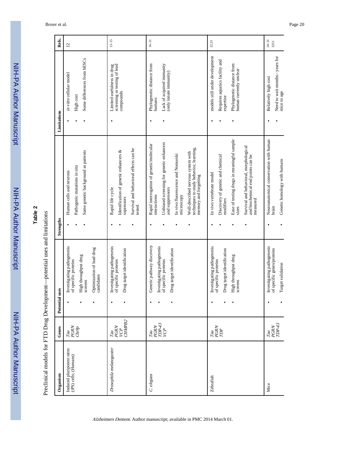NIH-PA Author ManuscriptNIH-PA Author Manuscript

# **Table 2**

# Preclinical models for FTD Drug Development-potential uses and limitations Preclinical models for FTD Drug Development—potential uses and limitations

| Organism                                          | Genes                                                                                                                 | Potential uses                                                                                                                   | Strengths                                                                                                                                                                                                                                                                            | Limitations                                                                                                                            | Refs.             |
|---------------------------------------------------|-----------------------------------------------------------------------------------------------------------------------|----------------------------------------------------------------------------------------------------------------------------------|--------------------------------------------------------------------------------------------------------------------------------------------------------------------------------------------------------------------------------------------------------------------------------------|----------------------------------------------------------------------------------------------------------------------------------------|-------------------|
| Induced pluripotent stem<br>(iPS) cells; (Humans) | Tau<br>PGRN<br>Chr9p                                                                                                  | Investigating pathogenesis<br>Optimization of lead drug<br>High throughput drug<br>of specific proteins<br>candidates<br>screens | Same genetic background as patients<br>Pathogenic mutations in situ<br>Human cells and neurons                                                                                                                                                                                       | Some differences from hESCs<br>in vitro cellular model<br>High cost                                                                    | $\overline{c}$    |
| Drosophila melanogaster                           | CHMPB2<br>PGRN<br>УCР<br>Tau                                                                                          | Investigating pathogenesis<br>Drug target identification<br>of specific proteins                                                 | Survival and behavioral effects can be<br>Identification of genetic enhancers &<br>Rapid life cycle<br>supressors<br>tested                                                                                                                                                          | screening or testing of lead<br>Limited usefulness in drug<br>compounds                                                                | $13 - 15$         |
| C. elegans                                        | $\begin{array}{lcl} \mathit{Tan} \\ \mathit{PERN} \\ \mathit{IDPA3} \\ \mathit{VCP} \end{array}$                      | Genetic pathway discovery<br>Investigating pathogenesis<br>Drug target identification<br>of specific proteins                    | Unbiased screening for genetic enhancers<br>Rapid interrogation of genetic/molecular<br>techniques to study behavior, learning,<br>Well-described nervous system with<br>In vivo fluorescence and Nomarski<br>memory and forgetting<br>and suppressors<br>interactions<br>microscopy | Phylogenetic distance from<br>Lack of acquired immunity<br>(only innate immunity)<br>humans                                            | $16 - 21$         |
| Zebrafish                                         | $\begin{array}{lcl} \hbox{\scriptsize\it Tau} \\ \hbox{\scriptsize\it PGRN} \\ \hbox{\scriptsize\it TDP} \end{array}$ | Investigating pathogenesis<br>Drug target identification<br>High throughput drug<br>of specific proteins<br>screens              | Ease of testing drugs in meaningful sample<br>Survival and behavioral, morphological<br>Discovery of genetic and chemical<br>and biochemical end points can be<br>In vivo vertebrate model<br>modifiers<br>measured<br>sizes                                                         | models still under development<br>Requires aquatics facility and<br>Phylogenetic distance from<br>human currently unclear<br>expertise | 22,23             |
| Mice                                              | $\begin{array}{c} PGRN \\ TDP43 \end{array}$<br>Tau                                                                   | Investigating pathogenesis<br>of specific genes/proteins<br>Target validation                                                    | Neuroanatomical conservation with human<br>Genetic homology with humans<br>brain                                                                                                                                                                                                     | Need to wait months-years for<br>Relatively high cost<br>mice to age                                                                   | $24 - 31$<br>3233 |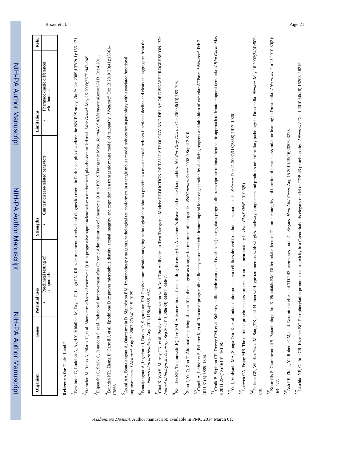| ININ         |
|--------------|
|              |
|              |
|              |
|              |
|              |
|              |
|              |
|              |
|              |
| ֪֦֧֢֚֡֘֘֝֘֜׆ |
| f            |
|              |
|              |
|              |
|              |
|              |
|              |
|              |
|              |
|              |
|              |
|              |
|              |
|              |
|              |
|              |

|  | <b>ISES</b>                           | Strengths                          | Limitations                               | Refs. |
|--|---------------------------------------|------------------------------------|-------------------------------------------|-------|
|  | $\sin$<br>Preclinical ter<br>compound | Can test disease-related behaviors | harmacokinetic differences<br>with humans |       |
|  |                                       |                                    |                                           |       |

References for Tables 1 and 2 **References for** Tables 1 and 2 Bensimon G, Ludolph A, Agid Y, Vidailhet M, Payan C, Leigh PN. Riluzole treatment, survival and diagnostic criteria in Parkinson plus disorders: the NNIPPS study. Brain. Jan 2009;132(Pt 1):156-171. Bensimon G, Ludolph A, Agid Y, Vidailhet M, Payan C, Leigh PN. Riluzole treatment, survival and diagnostic criteria in Parkinson plus disorders: the NNIPPS study. Brain. Jan 2009;132(Pt 1):156–171. Stamelou M, Reuss A, Pilatus U, et al. Short-term effects of coenzyme Q10 in progressive supranuclear palsy: a randomized, placebo-controlled trial. Mov Disord. May 15 2008;23(7):942-949. Stamelou M, Reuss A, Pilatus U, et al. Short-term effects of coenzyme Q10 in progressive supranuclear palsy: a randomized, placebo-controlled trial. Mov Disord. May 15 2008;23(7):942–949.

Elipenahli C, Stack C, Jainuddin S, et al. Behavioral Improvement after Chronic Administration of Coenzyme Q10 in P301S Transgenic Mice. Journal of Alzheimer's disease: JAD. Oct 4 2011. Elipenahli C, Stack C, Jainuddin S, et al. Behavioral Improvement after Chronic Administration of Coenzyme Q10 in P301S Transgenic Mice. Journal of Alzheimer's disease: JAD. Oct 4 2011.

Brunden KR, Zhang B, Carroll J, et al. Epothilone D improves microtubule density, axonal integrity, and cognition in a transgenic mouse model of tauopathy. J Neurosci Oct 13 2010;30(41):13861-Brunden KR, Zhang B, Carroll J, et al. Epothilone D improves microtubule density, axonal integrity, and cognition in a transgenic mouse model of tauopathy. J Neurosci. Oct 13 2010;30(41):13861– 13866.

5 Ssuni AA, Boutajangout A, Quartermain D, Sigurdsson EM. Immunotherapy targeting pathological tau conformers in a tangle mouse model reduces brain pathology with associated functional Asuni AA, Boutajangout A, Quartermain D, Sigurdsson EM. Immunotherapy targeting pathological tau conformers in a tangle mouse model reduces brain pathology with associated functional improvements. J Neurosci. Aug 22 2007;27(34):9115-9129. improvements. J Neurosci. Aug 22 2007;27(34):9115–9129. Boutajangout A, Ingadottir J, Davies P, Sigurdsson EM. Passive immunization targeting pathological phospho-tau protein in a mouse model reduces functional decline and clears tau aggregates from the Boutajangout A, Ingadottir J, Davies P, Sigurdsson EM. Passive immunization targeting pathological phospho-tau protein in a mouse model reduces functional decline and clears tau aggregates from the brain. Journal of neurochemistry. Aug 2011;118(4):658-667. brain. Journal of neurochemistry. Aug 2011;118(4):658–667.

 $The$ Chai X, Wu S, Murray TK, et al. Passive Immunization with Anti-Tau Anti-Tau Antibodies in Two Transgenic Models: REDUCTION OF TAU PATHOLOGY AND DELAY OF DELAY OF TROSSION. The Chai X, Wu S, Murray TK, et al. Passive Immunization with Anti-Tau Antibodies in Two Transgenic Models: REDUCTION OF TAU PATHOLOGY AND DELAY OF DISEASE PROGRESSION. Journal of biological chemistry. Sep 30 2011;286(39):34457-34467. Journal of biological chemistry. Sep 30 2011;286(39):34457–34467.

Brunden KR, Trojanowski JQ, Lee VM. Advances in tau-focused drug discovery for Alzheimer's disease and related tauopathies. Nat Rev Drug Discov. Oct 2009;8(10):783-793. Brunden KR, Trojanowski JQ, Lee VM. Advances in tau-focused drug discovery for Alzheimer's disease and related tauopathies. Nat Rev Drug Discov. Oct 2009;8(10):783–793.

 $\frac{9}{2}$ hou J, Yu Q, Zou T. Alternative splicing of exon 10 in the tau gene as a target for treatment of tauopathies. *BMC neuroscience*: 2008;9 Suppl 2:S10. Zhou J, Yu Q, Zou T. Alternative splicing of exon 10 in the tau gene as a target for treatment of tauopathies. BMC neuroscience. 2008;9 Suppl 2:S10.

 $n_{\text{capell A, Lebscher S, Fellerer K, et al. Rescue of programming deficiency associated with frontotemporal lobar degeneration by alkalizing reagents and inhibition of vacuolar ATPase. *Neurosci* Feb 2, 2, 3, 4, 4, 5, 6, 6, 6, 7, 8, 10).$  $^{10}$ Capell A, Liebscher S, Fellerer K, et al. Rescue of progranulin deficiency associated with frontotemporal lobar degeneration by alkalizing reagents and inhibition of vacuolar ATPase. J Neurosci. Feb 2 2011;31(5):1885–1894. 2011;31(5):1885-1894

I Cenik B, Sephon CF, Dewey CM, et al. Suberoylaniide hydroxamic acid (vorinostat) up-regulates progranulin transcription: rational therapeutic approach to frontotemporal dementia. J Biol Chem. May 11 Cenik B, Sephton CF, Dewey CM, et al. Suberoylanilide hydroxamic acid (vorinostat) up-regulates progranulin transcription: rational therapeutic approach to frontotemporal dementia. J Biol Chem. May 6 2011;286(18):16101–16108. 6 2011;286(18):16101-16108.

 $^{12}$ Yu J, Vodyanik MA, Smuga-Otto K, et al. Induced pluripotent stem cell lines derived from human somatic cells. Science: Dec 21 2007;318(5858);1917-1920.  $^{12}$ Yu J, Vodyanik MA, Smuga-Otto K, et al. Induced pluripotent stem cell lines derived from human somatic cells. Science. Dec 21 2007;318(5858):1917–1920.

 $^{12}$ Loewen CA, Feany MB. The unfolded protein response protects from tau neurotoxicity in vivo. PLoS ONE 2010;5(9).  $^{13}$  Loewen CA, Feany MB. The unfolded protein response protects from tau neurotoxicity in vivo. *PLoS ONE.* 2010;5(9).

14 Jackson GR, Wiedau-Pazos M, Sang TK, et al. Human wild-type tau interacts with wingless pathway components and produces neurofibrillary pathology in Drosophila. Neuron. May 16 2002;34(4):509-<sup>14</sup>Jackson GR, Wiedau-Pazos M, Sang TK, et al. Human wild-type tau interacts with wingless pathway components and produces neurofibrillary pathology in Drosophila. *Neuron.* May 16 2002;34(4):509-<br>519.

<sup>15</sup>Kosmidis S, Grammenoudi S, Papanikolopoulou K, Skoulakis EM. Differential effects of Tau on the integrity and function of neurons essential for learning in Drosophila. J Neurosci. Jan 13 2010;30(2): 15<br>160 Kosmidis S, Grammenoudi S, Papanikolopoulou K, Skoulakis EM. Differential effects of Tau on the integrity and function of neurons essential for learning in Drosophila. *I Neurosci.* Jan 13 2010;30(2):<br>464–477.

<sup>16</sup>Ash PE, Zhang YJ, Roberts CM, et al. Neurotoxic effects of TDP-43 overexpression in C. elegans. Hum Mol Genet. Aug 15 2010;19(16):3206-3218.  $^{16}$ Ash PE, Zhang YJ, Roberts CM, et al. Neurotoxic effects of TDP-43 overexpression in C. elegans. Hum Mol Genet. Aug 15 2010;19(16):3206–3218.

 $^{17}$ Liachko NF, Guthrie CR, Kraemer BC. Phosphorylation promotes neurotoxicity in a Caenorhabditis elegans model of TDP-43 proteinopathy. J Neurosci. Dec 1 2010;30(48):16208-16219.  $^{17}$ Liachko NF, Guthrie CR, Kraemer BC. Phosphorylation promotes neurotoxicity in a Caenorhabditis elegans model of TDP-43 proteinopathy. J Neurosci. Dec 1 2010;30(48):16208–16219.